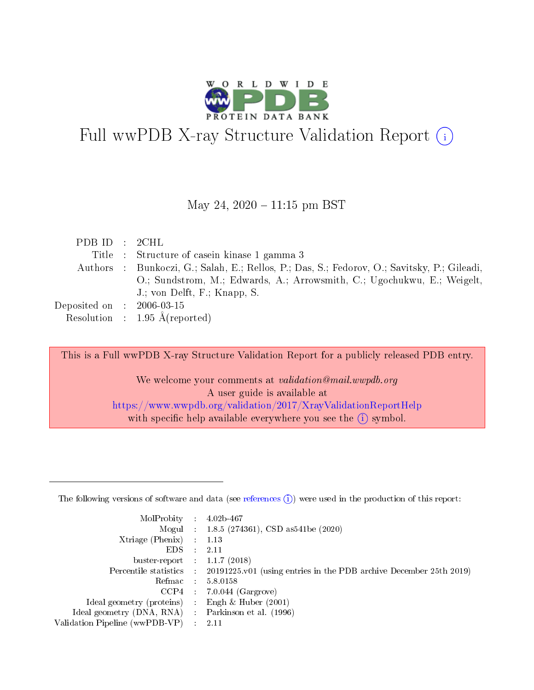

# Full wwPDB X-ray Structure Validation Report  $(i)$

May 24,  $2020 - 11:15$  pm BST

| PDBID : 2CHL                |                                                                                             |
|-----------------------------|---------------------------------------------------------------------------------------------|
|                             | Title : Structure of casein kinase 1 gamma 3                                                |
|                             | Authors : Bunkoczi, G.; Salah, E.; Rellos, P.; Das, S.; Fedorov, O.; Savitsky, P.; Gileadi, |
|                             | O.; Sundstrom, M.; Edwards, A.; Arrowsmith, C.; Ugochukwu, E.; Weigelt,                     |
|                             | J.; von Delft, F.; Knapp, S.                                                                |
| Deposited on : $2006-03-15$ |                                                                                             |
|                             | Resolution : $1.95 \text{ Å}$ (reported)                                                    |

This is a Full wwPDB X-ray Structure Validation Report for a publicly released PDB entry.

We welcome your comments at validation@mail.wwpdb.org A user guide is available at <https://www.wwpdb.org/validation/2017/XrayValidationReportHelp> with specific help available everywhere you see the  $(i)$  symbol.

The following versions of software and data (see [references](https://www.wwpdb.org/validation/2017/XrayValidationReportHelp#references)  $(1)$ ) were used in the production of this report:

| MolProbity :                   |               | $4.02b - 467$                                                               |
|--------------------------------|---------------|-----------------------------------------------------------------------------|
|                                |               | Mogul : $1.8.5$ (274361), CSD as 541be (2020)                               |
| Xtriage (Phenix)               | $\mathcal{L}$ | 1.13                                                                        |
| EDS.                           |               | 2.11                                                                        |
| buster-report : $1.1.7$ (2018) |               |                                                                             |
| Percentile statistics :        |               | $20191225 \text{v}01$ (using entries in the PDB archive December 25th 2019) |
| Refmac :                       |               | 5.8.0158                                                                    |
| CCP4                           |               | $7.0.044$ (Gargrove)                                                        |
| Ideal geometry (proteins) :    |               | Engh $\&$ Huber (2001)                                                      |
| Ideal geometry (DNA, RNA) :    |               | Parkinson et al. (1996)                                                     |
| Validation Pipeline (wwPDB-VP) | $\mathcal{L}$ | 2.11                                                                        |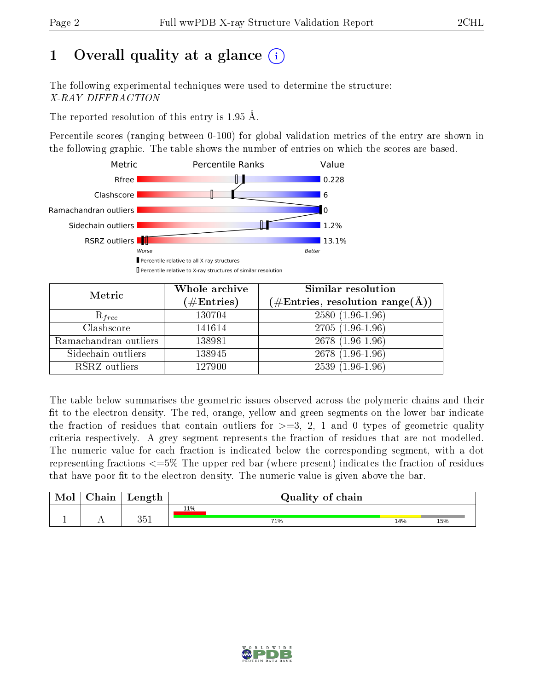# 1 [O](https://www.wwpdb.org/validation/2017/XrayValidationReportHelp#overall_quality)verall quality at a glance  $(i)$

The following experimental techniques were used to determine the structure: X-RAY DIFFRACTION

The reported resolution of this entry is 1.95 Å.

Percentile scores (ranging between 0-100) for global validation metrics of the entry are shown in the following graphic. The table shows the number of entries on which the scores are based.



| Metric                | Whole archive<br>$(\#\text{Entries})$ | Similar resolution<br>$(\#\text{Entries},\,\text{resolution}\,\,\text{range}(\textup{\AA}))$ |
|-----------------------|---------------------------------------|----------------------------------------------------------------------------------------------|
| $R_{free}$            | 130704                                | $2580(1.96-1.96)$                                                                            |
| Clashscore            | 141614                                | $2705(1.96-1.96)$                                                                            |
| Ramachandran outliers | 138981                                | 2678 (1.96-1.96)                                                                             |
| Sidechain outliers    | 138945                                | 2678 (1.96-1.96)                                                                             |
| RSRZ outliers         | 127900                                | $2539(1.96-1.96)$                                                                            |

The table below summarises the geometric issues observed across the polymeric chains and their fit to the electron density. The red, orange, yellow and green segments on the lower bar indicate the fraction of residues that contain outliers for  $>=3, 2, 1$  and 0 types of geometric quality criteria respectively. A grey segment represents the fraction of residues that are not modelled. The numeric value for each fraction is indicated below the corresponding segment, with a dot representing fractions  $\epsilon=5\%$  The upper red bar (where present) indicates the fraction of residues that have poor fit to the electron density. The numeric value is given above the bar.

| Mol       | $\Delta$ hain | Length       | Quality of chain |     |     |  |  |  |
|-----------|---------------|--------------|------------------|-----|-----|--|--|--|
|           |               |              | 11%              |     |     |  |  |  |
| <u>д.</u> | $\sim$ $\sim$ | 9⊾ี<br>ـ ن ر | 71%              | 14% | 15% |  |  |  |

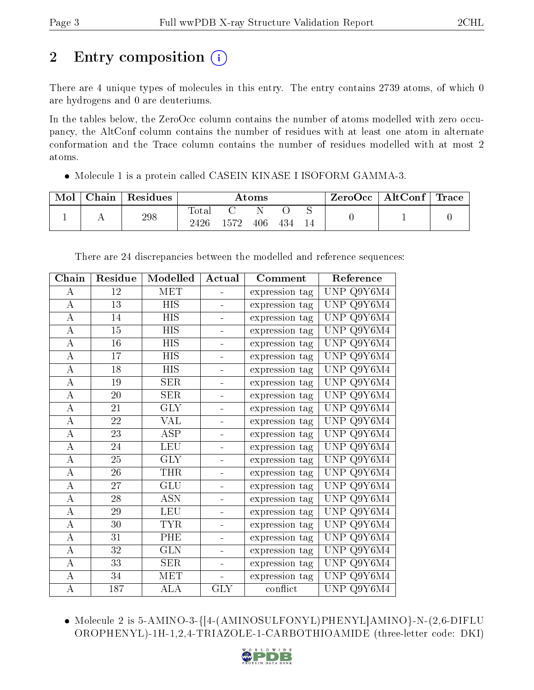# 2 Entry composition  $\left( \cdot \right)$

There are 4 unique types of molecules in this entry. The entry contains 2739 atoms, of which 0 are hydrogens and 0 are deuteriums.

In the tables below, the ZeroOcc column contains the number of atoms modelled with zero occupancy, the AltConf column contains the number of residues with at least one atom in alternate conformation and the Trace column contains the number of residues modelled with at most 2 atoms.

• Molecule 1 is a protein called CASEIN KINASE I ISOFORM GAMMA-3.

| Mol | Chain | Residues | $\rm{Atoms}$  |      |     | $\rm ZeroOcc \mid AltConf \mid Trace$ |  |  |  |
|-----|-------|----------|---------------|------|-----|---------------------------------------|--|--|--|
|     |       | 298      | Totar<br>2426 | 1572 | 406 | 434                                   |  |  |  |

| Chain              | Residue         | Modelled                  | Actual                   | Comment        | Reference                                                    |
|--------------------|-----------------|---------------------------|--------------------------|----------------|--------------------------------------------------------------|
| $\boldsymbol{A}$   | 12              | <b>MET</b>                |                          | expression tag | UNP Q9Y6M4                                                   |
| $\boldsymbol{A}$   | 13              | <b>HIS</b>                | $\frac{1}{2}$            | expression tag | Q9Y6M4<br>UNP                                                |
| $\overline{\rm A}$ | 14              | <b>HIS</b>                | ÷                        | expression tag | Q9Y6M4<br>UNP                                                |
| $\boldsymbol{A}$   | 15              | <b>HIS</b>                | ÷,                       | expression tag | Q9Y6M4<br><b>UNP</b>                                         |
| $\overline{\rm A}$ | $\overline{16}$ | $\overline{HIS}$          | $\blacksquare$           | expression tag | $\mathrm{Q}9\mathrm{Y}\overline{6\mathrm{M}4}$<br><b>UNP</b> |
| $\boldsymbol{A}$   | 17              | <b>HIS</b>                | ÷                        | expression tag | Q9Y6M4<br><b>UNP</b>                                         |
| $\boldsymbol{A}$   | 18              | <b>HIS</b>                | ÷                        | expression tag | Q9Y6M4<br><b>UNP</b>                                         |
| $\overline{A}$     | $19\,$          | <b>SER</b>                | ÷                        | expression tag | <b>UNP</b><br>Q9Y6M4                                         |
| $\boldsymbol{A}$   | 20              | <b>SER</b>                | $\blacksquare$           | expression tag | Q9Y6M4<br><b>UNP</b>                                         |
| $\overline{A}$     | 21              | $\overline{\text{GLY}}$   | $\blacksquare$           | expression tag | $Q9\overline{Y6M4}$<br><b>UNP</b>                            |
| $\boldsymbol{A}$   | 22              | VAL                       | $\blacksquare$           | expression tag | Q9Y6M4<br>UNP                                                |
| $\boldsymbol{A}$   | 23              | $\overline{\rm ASP}$      | $\overline{\phantom{0}}$ | expression tag | Q9Y6M4<br><b>UNP</b>                                         |
| $\overline{\rm A}$ | 24              | <b>LEU</b>                | ÷                        | expression tag | Q9Y6M4<br><b>UNP</b>                                         |
| $\boldsymbol{A}$   | 25              | <b>GLY</b>                | $\overline{\phantom{0}}$ | expression tag | Q9Y6M4<br><b>UNP</b>                                         |
| $\overline{\rm A}$ | 26              | <b>THR</b>                | $\blacksquare$           | expression tag | $Q9Y\overline{6M4}$<br><b>UNP</b>                            |
| $\overline{A}$     | 27              | GLU                       | ÷                        | expression tag | Q9Y6M4<br><b>UNP</b>                                         |
| $\overline{\rm A}$ | 28              | $\overline{\mathrm{ASN}}$ | $\blacksquare$           | expression tag | Q9Y6M4<br><b>UNP</b>                                         |
| $\boldsymbol{A}$   | $29\,$          | <b>LEU</b>                | $\overline{\phantom{0}}$ | expression tag | Q9Y6M4<br><b>UNP</b>                                         |
| $\boldsymbol{A}$   | 30              | <b>TYR</b>                | $\blacksquare$           | expression tag | Q9Y6M4<br><b>UNP</b>                                         |
| $\overline{A}$     | 31              | PHE                       | ÷                        | expression tag | Q9Y6M4<br><b>UNP</b>                                         |
| $\overline{\rm A}$ | 32              | <b>GLN</b>                | $\blacksquare$           | expression tag | Q9Y6M4<br>UNP                                                |
| $\boldsymbol{A}$   | 33              | <b>SER</b>                | $\overline{\phantom{0}}$ | expression tag | $\mathrm{Q}9\mathrm{Y}\overline{6\mathrm{M}4}$<br><b>UNP</b> |
| $\overline{\rm A}$ | 34              | <b>MET</b>                | $\blacksquare$           | expression tag | Q9Y6M4<br>UNP                                                |
| $\overline{\rm A}$ | 187             | ALA                       | <b>GLY</b>               | conflict       | UNP $\mathrm{Q}9\mathrm{Y}6\overline{\mathrm{M}4}$           |

There are 24 discrepancies between the modelled and reference sequences:

 Molecule 2 is 5-AMINO-3-{[4-(AMINOSULFONYL)PHENYL]AMINO}-N-(2,6-DIFLU OROPHENYL)-1H-1,2,4-TRIAZOLE-1-CARBOTHIOAMIDE (three-letter code: DKI)

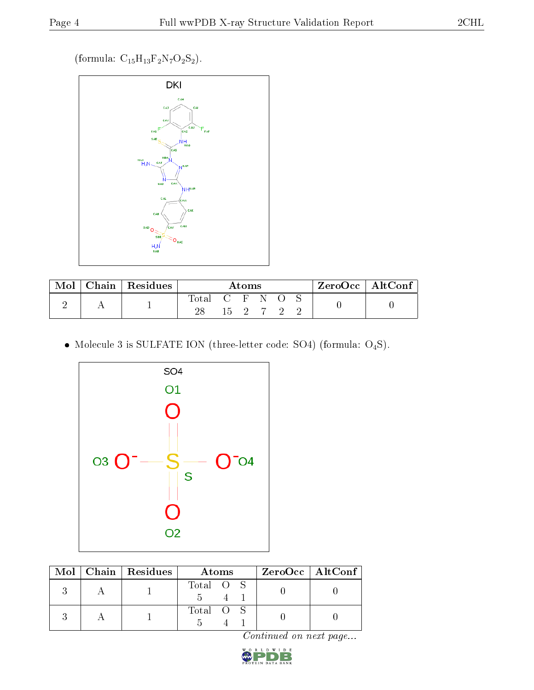(formula:  $\mathrm{C_{15}H_{13}F_2N_7O_2S_2}).$ 



|  | Chain   Residues | Atoms       |  |              |   | $^{\shortmid}$ ZeroOcc $\mid$ AltConf $_{\shortmid}$ |  |  |  |
|--|------------------|-------------|--|--------------|---|------------------------------------------------------|--|--|--|
|  |                  | Total<br>28 |  | $15 \quad 2$ | N |                                                      |  |  |  |

 $\bullet$  Molecule 3 is SULFATE ION (three-letter code: SO4) (formula: O<sub>4</sub>S).



|  | $\text{Mol}$   Chain   Residues | Atoms     | ZeroOcc   AltConf |
|--|---------------------------------|-----------|-------------------|
|  |                                 | Total O S |                   |
|  |                                 | Total O S |                   |

Continued on next page...

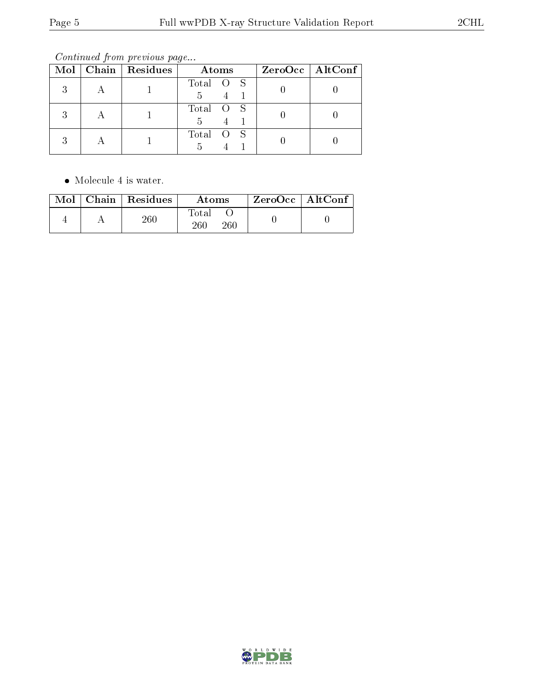Continued from previous page...

|   | Mol   Chain   Residues | Atoms          | $ZeroOcc \   \$ AltConf |
|---|------------------------|----------------|-------------------------|
| २ |                        | Total O S<br>5 |                         |
| २ |                        | Total O S<br>5 |                         |
|   |                        | Total O S      |                         |

Molecule 4 is water.

|  | $\text{Mol}$   Chain   Residues | Atoms               | ZeroOcc   AltConf |  |
|--|---------------------------------|---------------------|-------------------|--|
|  | $^{260}\:$                      | Total<br>260<br>260 |                   |  |

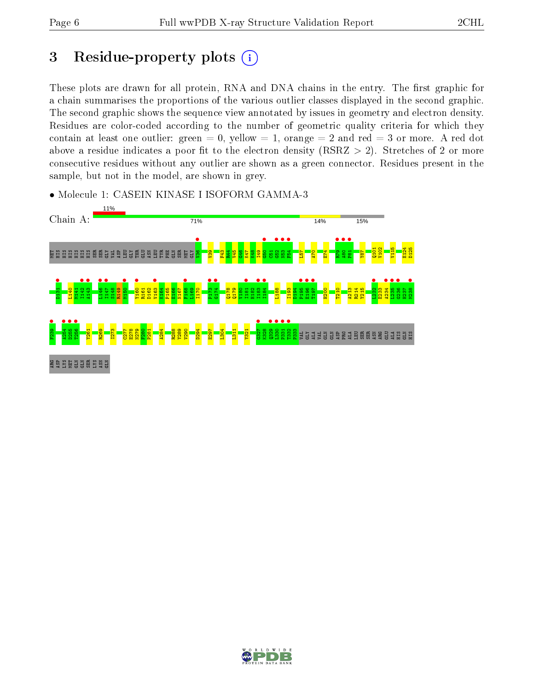## 3 Residue-property plots  $(i)$

These plots are drawn for all protein, RNA and DNA chains in the entry. The first graphic for a chain summarises the proportions of the various outlier classes displayed in the second graphic. The second graphic shows the sequence view annotated by issues in geometry and electron density. Residues are color-coded according to the number of geometric quality criteria for which they contain at least one outlier: green  $= 0$ , yellow  $= 1$ , orange  $= 2$  and red  $= 3$  or more. A red dot above a residue indicates a poor fit to the electron density (RSRZ  $> 2$ ). Stretches of 2 or more consecutive residues without any outlier are shown as a green connector. Residues present in the sample, but not in the model, are shown in grey.



• Molecule 1: CASEIN KINASE I ISOFORM GAMMA-3

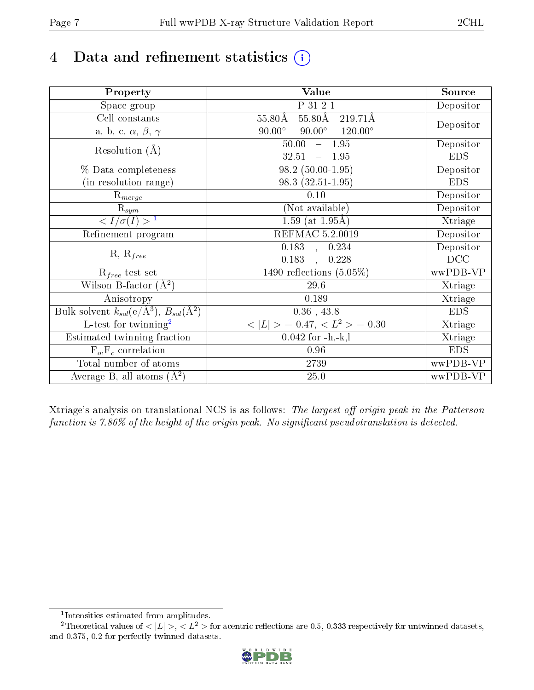## 4 Data and refinement statistics  $(i)$

| Property                                                             | Value                                              | Source     |
|----------------------------------------------------------------------|----------------------------------------------------|------------|
| Space group                                                          | P 31 2 1                                           | Depositor  |
| Cell constants                                                       | $55.80\text{\AA}$<br>$55.80\text{\AA}$<br>219.71Å  |            |
| a, b, c, $\alpha$ , $\beta$ , $\gamma$                               | $90.00^\circ$<br>$120.00^{\circ}$<br>$90.00^\circ$ | Depositor  |
| Resolution $(A)$                                                     | $-1.95$<br>50.00                                   | Depositor  |
|                                                                      | 32.51<br>$-1.95$                                   | <b>EDS</b> |
| % Data completeness                                                  | $98.2(50.00-1.95)$                                 | Depositor  |
| (in resolution range)                                                | $98.3(32.51-1.95)$                                 | <b>EDS</b> |
| $\mathrm{R}_{merge}$                                                 | 0.10                                               | Depositor  |
| $\mathrm{R}_{sym}$                                                   | (Not available)                                    | Depositor  |
| $\langle I/\sigma(I) \rangle$ <sup>1</sup>                           | $\overline{1.59}$ (at 1.95Å)                       | Xtriage    |
| Refinement program                                                   | <b>REFMAC 5.2.0019</b>                             | Depositor  |
|                                                                      | $\overline{0.183}$ ,<br>0.234                      | Depositor  |
| $R, R_{free}$                                                        | 0.183<br>0.228<br>$\mathbf{r}$                     | DCC        |
| $R_{free}$ test set                                                  | 1490 reflections $(5.05\%)$                        | wwPDB-VP   |
| Wilson B-factor $(A^2)$                                              | 29.6                                               | Xtriage    |
| Anisotropy                                                           | 0.189                                              | Xtriage    |
| Bulk solvent $k_{sol}(e/\mathring{A}^3)$ , $B_{sol}(\mathring{A}^2)$ | $0.36$ , 43.8                                      | <b>EDS</b> |
| $L$ -test for twinning <sup>2</sup>                                  | $< L >$ = 0.47, $< L2 >$ = 0.30                    | Xtriage    |
| Estimated twinning fraction                                          | $0.042$ for $-h,-k,l$                              | Xtriage    |
| $F_o, F_c$ correlation                                               | 0.96                                               | <b>EDS</b> |
| Total number of atoms                                                | 2739                                               | wwPDB-VP   |
| Average B, all atoms $(A^2)$                                         | $25.0\,$                                           | wwPDB-VP   |

Xtriage's analysis on translational NCS is as follows: The largest off-origin peak in the Patterson function is  $7.86\%$  of the height of the origin peak. No significant pseudotranslation is detected.

<sup>&</sup>lt;sup>2</sup>Theoretical values of  $\langle |L| \rangle$ ,  $\langle L^2 \rangle$  for acentric reflections are 0.5, 0.333 respectively for untwinned datasets, and 0.375, 0.2 for perfectly twinned datasets.



<span id="page-6-1"></span><span id="page-6-0"></span><sup>1</sup> Intensities estimated from amplitudes.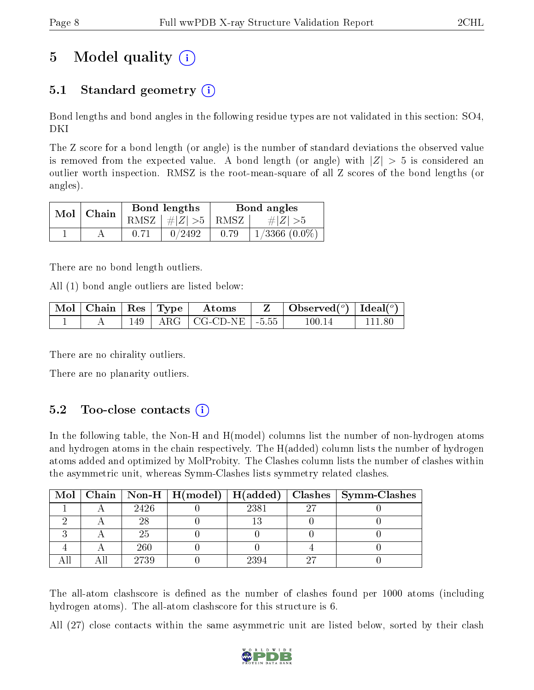# 5 Model quality  $(i)$

## 5.1 Standard geometry  $(i)$

Bond lengths and bond angles in the following residue types are not validated in this section: SO4, DKI

The Z score for a bond length (or angle) is the number of standard deviations the observed value is removed from the expected value. A bond length (or angle) with  $|Z| > 5$  is considered an outlier worth inspection. RMSZ is the root-mean-square of all Z scores of the bond lengths (or angles).

| $Mol$   Chain | Bond lengths                            | Bond angles |                    |  |
|---------------|-----------------------------------------|-------------|--------------------|--|
|               | RMSZ $\mid \#  Z  > 5 \mid$ RMSZ $\mid$ |             | $\# Z  > 5$        |  |
|               | 0/2492                                  | 0.79        | $1/3366$ $(0.0\%)$ |  |

There are no bond length outliers.

All (1) bond angle outliers are listed below:

|  |  | $\mid$ Mol $\mid$ Chain $\mid$ Res $\mid$ Type $\mid$ Atoms | $\mathbf{Z}$   Observed( $^o$ )   Ideal( $^o$ ) |        |
|--|--|-------------------------------------------------------------|-------------------------------------------------|--------|
|  |  | $149$   ARG   CG-CD-NE   -5.55                              | 100.14                                          | 111.80 |

There are no chirality outliers.

There are no planarity outliers.

### $5.2$  Too-close contacts  $(i)$

In the following table, the Non-H and H(model) columns list the number of non-hydrogen atoms and hydrogen atoms in the chain respectively. The H(added) column lists the number of hydrogen atoms added and optimized by MolProbity. The Clashes column lists the number of clashes within the asymmetric unit, whereas Symm-Clashes lists symmetry related clashes.

|  |      |      |    | Mol   Chain   Non-H   H(model)   H(added)   Clashes   Symm-Clashes |
|--|------|------|----|--------------------------------------------------------------------|
|  | 2426 | 2381 | 97 |                                                                    |
|  |      |      |    |                                                                    |
|  | 25   |      |    |                                                                    |
|  | 260  |      |    |                                                                    |
|  | 2739 | 2394 |    |                                                                    |

The all-atom clashscore is defined as the number of clashes found per 1000 atoms (including hydrogen atoms). The all-atom clashscore for this structure is 6.

All (27) close contacts within the same asymmetric unit are listed below, sorted by their clash

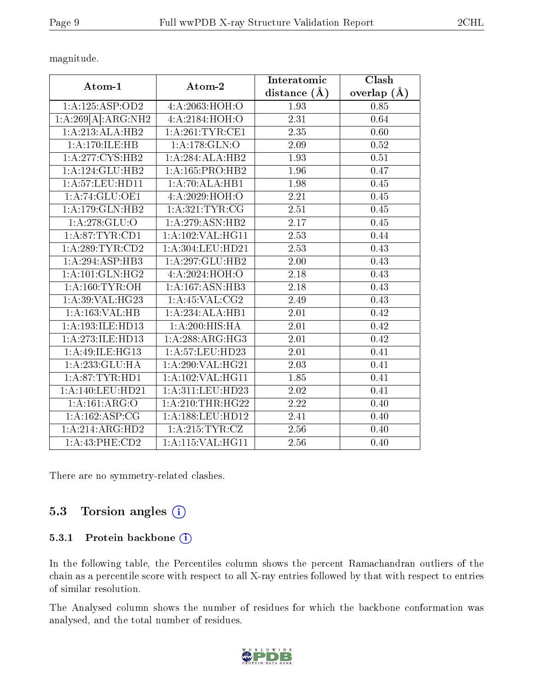magnitude.

| Atom-1                          | Atom-2                               | Interatomic<br>distance $(\AA)$ | Clash<br>overlap $(A)$ |
|---------------------------------|--------------------------------------|---------------------------------|------------------------|
| 1: A: 125: ASP: OD2             | 4:A:2063:HOH:O                       | 1.93                            | 0.85                   |
| $1:A:269[A]:ARG:\overline{NH2}$ | 4:A:2184:HOH:O                       | 2.31                            | 0.64                   |
| $1:A:\overline{213:ALA:HB2}$    | 1: A:261:TYR:CE1                     | $\overline{2.35}$               | 0.60                   |
| 1:A:170:ILE:HB                  | 1:A:178:GLN:O                        | 2.09                            | 0.52                   |
| 1: A:277:CYS:HB2                | 1:A:284:ALA:HB2                      | 1.93                            | 0.51                   |
| 1:A:124:GLU:HB2                 | 1: A: 165: PRO: HB2                  | 1.96                            | 0.47                   |
| 1: A:57:LEU:HD11                | 1:A:70:ALA:HB1                       | 1.98                            | 0.45                   |
| 1:A:74:GLU:OE1                  | 4: A:2029:HOH:O                      | $\overline{2.21}$               | 0.45                   |
| 1:A:179:GLN:HB2                 | 1: A:321:TYR:CG                      | 2.51                            | 0.45                   |
| 1: A:278: GLU:O                 | 1:A:279:ASN:HB2                      | $\overline{2.17}$               | 0.45                   |
| 1: A:87:TYR:CD1                 | 1: A: 102: VAL: HG11                 | 2.53                            | 0.44                   |
| 1:A:289:TYR:CD2                 | 1: A: 304: LEU: HD21                 | 2.53                            | 0.43                   |
| $1:\overline{A:294:ASP:HB3}$    | 1:A:297:GLU:HB2                      | 2.00                            | 0.43                   |
| 1:A:101:GLN:HG2                 | 4:A:2024:HOH:O                       | $\overline{2.18}$               | 0.43                   |
| 1: A:160:TYR:OH                 | $1:A:167: \overline{\text{ASN:HB3}}$ | 2.18                            | 0.43                   |
| 1:A:39:VAL:HG23                 | 1:A:45:VAL:CG2                       | 2.49                            | 0.43                   |
| 1:A:163:VAL:HB                  | 1:A:234:ALA:HB1                      | 2.01                            | 0.42                   |
| 1: A: 193: ILE: HD13            | $1:A:200:HIS:\overline{HA}$          | 2.01                            | 0.42                   |
| 1:A:273:ILE:HD13                | 1:A:288:ARG:HG3                      | 2.01                            | 0.42                   |
| 1:A:49:ILE:HG13                 | 1:A:57:LEU:HD23                      | $\overline{2.01}$               | 0.41                   |
| 1:A:233:GLU:HA                  | 1: A:290: VAL:HG21                   | $\overline{2.03}$               | 0.41                   |
| 1: A:87:TYR:HD1                 | 1: A: 102: VAL: HG11                 | 1.85                            | 0.41                   |
| 1:A:140:LEU:HD21                | 1: A:311: LEU: HD23                  | 2.02                            | 0.41                   |
| 1:A:161:ARG:O                   | 1: A:210:THR:HG22                    | 2.22                            | 0.40                   |
| 1:A:162:ASP:CG                  | 1:A:188:LEU:HD12                     | 2.41                            | 0.40                   |
| 1:A:214:ARG:HD2                 | 1: A:215: TYR: CZ                    | 2.56                            | 0.40                   |
| 1: A:43:PHE:CD2                 | 1:A:115:VAL:HG11                     | 2.56                            | 0.40                   |

There are no symmetry-related clashes.

### 5.3 Torsion angles (i)

#### 5.3.1 Protein backbone (i)

In the following table, the Percentiles column shows the percent Ramachandran outliers of the chain as a percentile score with respect to all X-ray entries followed by that with respect to entries of similar resolution.

The Analysed column shows the number of residues for which the backbone conformation was analysed, and the total number of residues.

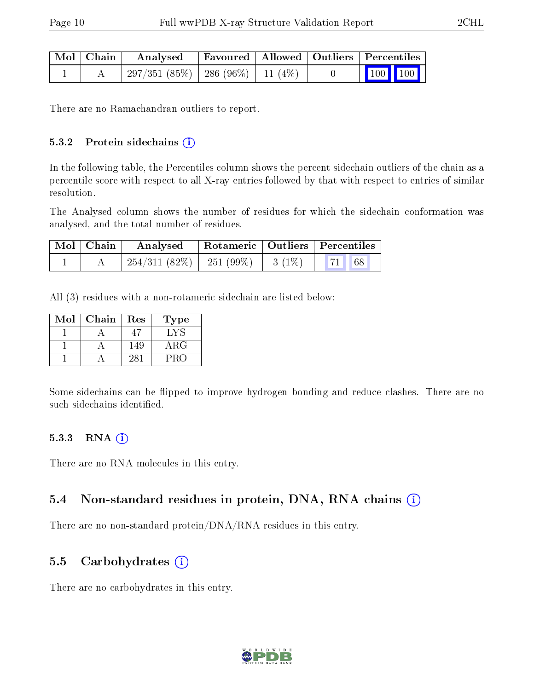| Mol   Chain | Analysed                                |  | Favoured   Allowed   Outliers   Percentiles    |  |
|-------------|-----------------------------------------|--|------------------------------------------------|--|
|             | $297/351(85\%)$   286 (96\%)   11 (4\%) |  | $\begin{bmatrix} 100 \\ 100 \end{bmatrix}$ 100 |  |

There are no Ramachandran outliers to report.

#### $5.3.2$  Protein sidechains  $(i)$

In the following table, the Percentiles column shows the percent sidechain outliers of the chain as a percentile score with respect to all X-ray entries followed by that with respect to entries of similar resolution.

The Analysed column shows the number of residues for which the sidechain conformation was analysed, and the total number of residues.

| Mol   Chain | Analysed Rotameric   Outliers   Percentiles            |  |  |  |  |
|-------------|--------------------------------------------------------|--|--|--|--|
|             | $\frac{1}{254}/311$ (82%)   251 (99%)   3 (1%)   71 68 |  |  |  |  |

All (3) residues with a non-rotameric sidechain are listed below:

| Mol | Chain | Res | Type       |
|-----|-------|-----|------------|
|     |       |     | $+Y$ :     |
|     |       | 149 | $\rm{ARG}$ |
|     |       | 28. | PRC        |

Some sidechains can be flipped to improve hydrogen bonding and reduce clashes. There are no such sidechains identified.

#### 5.3.3 RNA (i)

There are no RNA molecules in this entry.

#### 5.4 Non-standard residues in protein, DNA, RNA chains (i)

There are no non-standard protein/DNA/RNA residues in this entry.

#### 5.5 Carbohydrates  $(i)$

There are no carbohydrates in this entry.

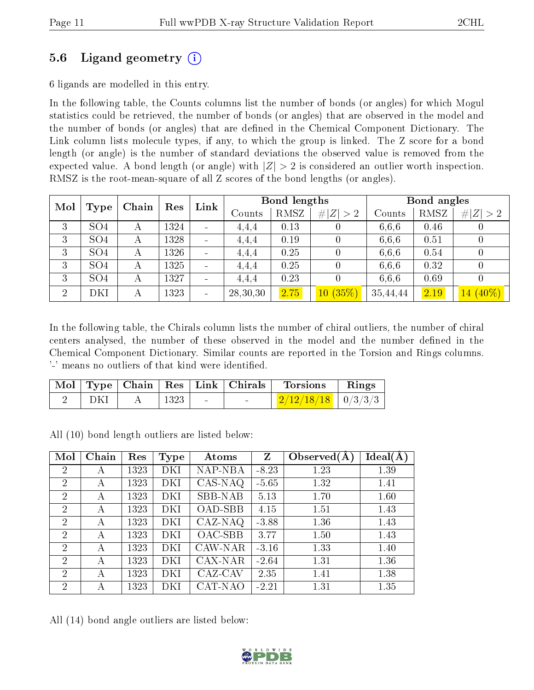### 5.6 Ligand geometry (i)

6 ligands are modelled in this entry.

In the following table, the Counts columns list the number of bonds (or angles) for which Mogul statistics could be retrieved, the number of bonds (or angles) that are observed in the model and the number of bonds (or angles) that are dened in the Chemical Component Dictionary. The Link column lists molecule types, if any, to which the group is linked. The Z score for a bond length (or angle) is the number of standard deviations the observed value is removed from the expected value. A bond length (or angle) with  $|Z| > 2$  is considered an outlier worth inspection. RMSZ is the root-mean-square of all Z scores of the bond lengths (or angles).

| Mol            |                 | Chain | Res  | Link                     |          | <b>Bond lengths</b> |             | Bond angles |      |             |  |
|----------------|-----------------|-------|------|--------------------------|----------|---------------------|-------------|-------------|------|-------------|--|
|                | Type            |       |      |                          | Counts   | RMSZ                | # $ Z  > 2$ | Counts      | RMSZ | # $ Z  > 2$ |  |
| 3              | SO <sub>4</sub> |       | 1324 | $\qquad \qquad$          | 4,4,4    | 0.13                |             | 6.6.6       | 0.46 |             |  |
| 3              | SO <sub>4</sub> | А     | 1328 | $\blacksquare$           | 4,4,4    | 0.19                |             | 6,6,6       | 0.51 |             |  |
| 3              | SO <sub>4</sub> | А     | 1326 |                          | 4,4,4    | 0.25                |             | 6,6,6       | 0.54 |             |  |
| 3              | SO <sub>4</sub> | А     | 1325 |                          | 4,4,4    | 0.25                |             | 6.6.6       | 0.32 |             |  |
| 3              | SO <sub>4</sub> | А     | 1327 |                          | 4,4,4    | 0.23                |             | 6.6.6       | 0.69 |             |  |
| $\overline{2}$ | DKI             | А     | 1323 | $\overline{\phantom{0}}$ | 28,30,30 | 2.75                | $10(35\%)$  | 35,44,44    | 2.19 | 14 (40%)    |  |

In the following table, the Chirals column lists the number of chiral outliers, the number of chiral centers analysed, the number of these observed in the model and the number defined in the Chemical Component Dictionary. Similar counts are reported in the Torsion and Rings columns. '-' means no outliers of that kind were identified.

|     |      | Mol   Type   Chain   Res   Link   Chirals | Torsions                                  | Rings |
|-----|------|-------------------------------------------|-------------------------------------------|-------|
| DKI | 1323 |                                           | $\frac{2}{12/12/18/18}$ $\frac{0}{3/3/3}$ |       |

All (10) bond length outliers are listed below:

| Mol            | Chain | Res  | <b>Type</b> | Atoms          | Z       | Observed $(A)$ | Ideal(A) |
|----------------|-------|------|-------------|----------------|---------|----------------|----------|
| $\overline{2}$ | А     | 1323 | DKI         | NAP-NBA        | $-8.23$ | 1.23           | 1.39     |
| $\overline{2}$ | А     | 1323 | DKI         | CAS-NAQ        | $-5.65$ | 1.32           | 1.41     |
| $\overline{2}$ | А     | 1323 | DKI         | <b>SBB-NAB</b> | 5.13    | 1.70           | 1.60     |
| $\overline{2}$ | А     | 1323 | DKI         | <b>OAD-SBB</b> | 4.15    | 1.51           | 1.43     |
| $\overline{2}$ | А     | 1323 | DKI         | CAZ-NAQ        | $-3.88$ | 1.36           | 1.43     |
| $\overline{2}$ | А     | 1323 | DKI         | OAC-SBB        | 3.77    | 1.50           | 1.43     |
| $\overline{2}$ | А     | 1323 | DKI         | CAW-NAR        | $-3.16$ | 1.33           | 1.40     |
| $\overline{2}$ | А     | 1323 | DKI         | CAX-NAR        | $-2.64$ | 1.31           | 1.36     |
| $\mathcal{P}$  | А     | 1323 | DKI         | CAZ-CAV        | 2.35    | 1.41           | 1.38     |
| $\overline{2}$ | А     | 1323 | DKI         | CAT-NAO        | $-2.21$ | 1.31           | 1.35     |

All (14) bond angle outliers are listed below:

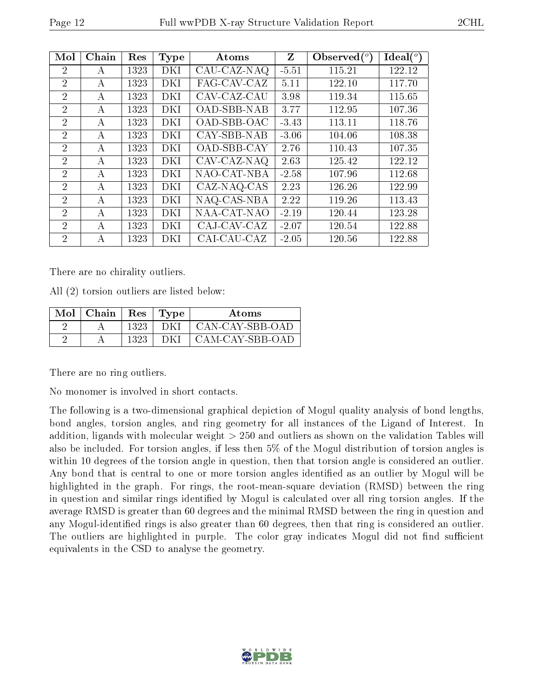| Mol            | Chain        | Res  | <b>Type</b> | Atoms                           | $Z_{\parallel}$ | Observed $(°)$ | Ideal $(^\circ)$ |
|----------------|--------------|------|-------------|---------------------------------|-----------------|----------------|------------------|
| 2              | А            | 1323 | DKI         | CAU-CAZ-NAQ                     | $-5.51$         | 115.21         | 122.12           |
| $\overline{2}$ | А            | 1323 | DKI         | FAG-CAV-CAZ                     | 5.11            | 122.10         | 117.70           |
| $\overline{2}$ | А            | 1323 | DKI         | CAV-CAZ-CAU                     | 3.98            | 119.34         | 115.65           |
| $\overline{2}$ | А            | 1323 | DKI         | OAD-SBB-NAB                     | 3.77            | 112.95         | 107.36           |
| 2              | А            | 1323 | DKI         | OAD-SBB-OAC                     | $-3.43$         | 113.11         | 118.76           |
| $\overline{2}$ | А            | 1323 | DKI         | CAY-SBB-NAB                     | $-3.06$         | 104.06         | 108.38           |
| $\overline{2}$ | $\mathsf{A}$ | 1323 | DKI         | OAD-SBB-CAY                     | 2.76            | 110.43         | 107.35           |
| 2              | А            | 1323 | DKI         | CAV-CAZ-NAQ                     | 2.63            | 125.42         | 122.12           |
| $\overline{2}$ | А            | 1323 | DKI         | NAO-CAT-NBA                     | $-2.58$         | 107.96         | 112.68           |
| $\overline{2}$ | A            | 1323 | DKI         | CAZ-NAQ-CAS                     | 2.23            | 126.26         | 122.99           |
| $\overline{2}$ | А            | 1323 | DKI         | $\overline{\text{NAQ-CAS-NBA}}$ | 2.22            | 119.26         | 113.43           |
| 2              | А            | 1323 | DKI         | NAA-CAT-NAO                     | $-2.19$         | 120.44         | 123.28           |
| $\overline{2}$ | А            | 1323 | DKI         | CAJ-CAV-CAZ                     | $-2.07$         | 120.54         | 122.88           |
| $\overline{2}$ | А            | 1323 | DKI         | CAI-CAU-CAZ                     | $-2.05$         | 120.56         | 122.88           |

There are no chirality outliers.

All (2) torsion outliers are listed below:

| Mol | Chain | <b>Res</b> | 'Type | Atoms           |
|-----|-------|------------|-------|-----------------|
| 61  |       | 1323       | DKI   | CAN-CAY-SBB-OAD |
| റ   |       | 1323       |       | CAM-CAY-SBB-OAD |

There are no ring outliers.

No monomer is involved in short contacts.

The following is a two-dimensional graphical depiction of Mogul quality analysis of bond lengths, bond angles, torsion angles, and ring geometry for all instances of the Ligand of Interest. In addition, ligands with molecular weight > 250 and outliers as shown on the validation Tables will also be included. For torsion angles, if less then 5% of the Mogul distribution of torsion angles is within 10 degrees of the torsion angle in question, then that torsion angle is considered an outlier. Any bond that is central to one or more torsion angles identified as an outlier by Mogul will be highlighted in the graph. For rings, the root-mean-square deviation (RMSD) between the ring in question and similar rings identified by Mogul is calculated over all ring torsion angles. If the average RMSD is greater than 60 degrees and the minimal RMSD between the ring in question and any Mogul-identified rings is also greater than 60 degrees, then that ring is considered an outlier. The outliers are highlighted in purple. The color gray indicates Mogul did not find sufficient equivalents in the CSD to analyse the geometry.

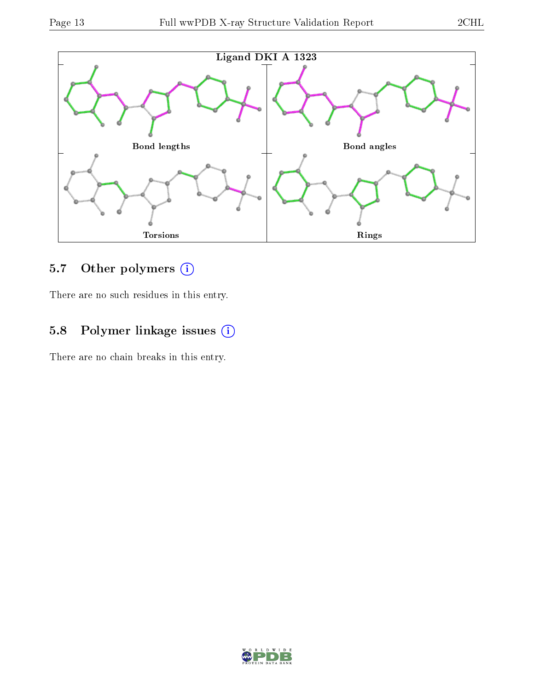

### 5.7 [O](https://www.wwpdb.org/validation/2017/XrayValidationReportHelp#nonstandard_residues_and_ligands)ther polymers (i)

There are no such residues in this entry.

### 5.8 Polymer linkage issues (i)

There are no chain breaks in this entry.

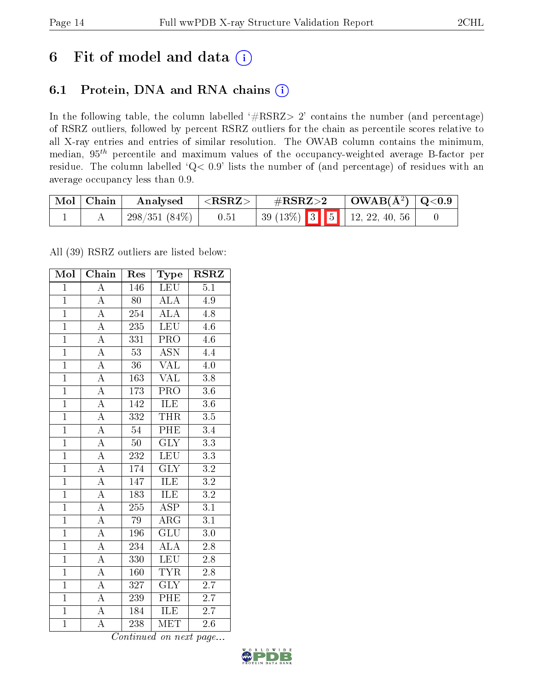## 6 Fit of model and data  $(i)$

### 6.1 Protein, DNA and RNA chains  $(i)$

In the following table, the column labelled  $#RSRZ> 2'$  contains the number (and percentage) of RSRZ outliers, followed by percent RSRZ outliers for the chain as percentile scores relative to all X-ray entries and entries of similar resolution. The OWAB column contains the minimum, median,  $95<sup>th</sup>$  percentile and maximum values of the occupancy-weighted average B-factor per residue. The column labelled ' $Q< 0.9$ ' lists the number of (and percentage) of residues with an average occupancy less than 0.9.

| $^+$ Mol $\vert$ Chain $^+$ | Analysed        | $  <$ RSRZ $>$ | $\rm \#RSRZ{>}2$ |  | $\vert$ OWAB( $\rm{\AA}^2$ ) $\vert$ Q<0.9 |  |
|-----------------------------|-----------------|----------------|------------------|--|--------------------------------------------|--|
|                             | $298/351(84\%)$ | 0.51           |                  |  | $39(13\%)$ 3 5 12, 22, 40, 56              |  |

All (39) RSRZ outliers are listed below:

| Mol            | Chain              | Res             | Type                    | <b>RSRZ</b>      |  |
|----------------|--------------------|-----------------|-------------------------|------------------|--|
| $\mathbf{1}$   | $\overline{\rm A}$ | 146             | <b>LEU</b>              | $\overline{5.1}$ |  |
| $\overline{1}$ | $\overline{A}$     | 80              | $\overline{\rm ALA}$    | $4.\overline{9}$ |  |
| $\overline{1}$ | $\overline{A}$     | 254             | ALA                     | 4.8              |  |
| $\overline{1}$ | $\overline{\rm A}$ | 235             | <b>LEU</b>              | 4.6              |  |
| $\overline{1}$ | $\overline{\rm A}$ | 331             | $\overline{\text{PRO}}$ | 4.6              |  |
| $\overline{1}$ | $\overline{\rm A}$ | $\overline{53}$ | $\overline{\text{ASN}}$ | 4.4              |  |
| $\overline{1}$ | $\overline{\rm A}$ | 36              | <b>VAL</b>              | 4.0              |  |
| $\overline{1}$ | $\overline{A}$     | 163             | <b>VAL</b>              | $\overline{3.8}$ |  |
| $\overline{1}$ | $\overline{\rm A}$ | 173             | $\overline{\text{PRO}}$ | 3.6              |  |
| $\overline{1}$ | $\overline{A}$     | 142             | <b>ILE</b>              | $\overline{3.6}$ |  |
| $\overline{1}$ | $\boldsymbol{A}$   | 332             | <b>THR</b>              | $3.5\,$          |  |
| $\overline{1}$ | $\overline{A}$     | 54              | PHE                     | $\overline{3.4}$ |  |
| $\overline{1}$ | $\overline{A}$     | 50 <sup>°</sup> | $\overline{\text{GLY}}$ | $\overline{3.3}$ |  |
| $\overline{1}$ | $\overline{\rm A}$ | 232             | <b>LEU</b>              | $\overline{3.3}$ |  |
| $\overline{1}$ | $\overline{\rm A}$ | 174             | $\overline{\text{GLY}}$ | $\overline{3.2}$ |  |
| $\overline{1}$ | $\overline{\rm A}$ | 147             | ILE                     | $\overline{3.2}$ |  |
| $\overline{1}$ | $\overline{A}$     | 183             | <b>ILE</b>              | $\overline{3.2}$ |  |
| $\mathbf{1}$   | $\overline{\rm A}$ | 255             | $\overline{\text{ASP}}$ | $\overline{3.1}$ |  |
| $\overline{1}$ | $\overline{\rm A}$ | 79              | $\rm{ARG}$              | $\overline{3.1}$ |  |
| $\overline{1}$ | $\overline{\rm A}$ | 196             | $\overline{{\rm GLU}}$  | $\overline{3}.0$ |  |
| $\overline{1}$ | $\overline{\rm A}$ | 234             | ALA                     | 2.8              |  |
| $\overline{1}$ | $\overline{A}$     | 330             | <b>LEU</b>              | $\overline{2.8}$ |  |
| $\mathbf{1}$   | $\boldsymbol{A}$   | 160             | $\overline{\text{TYR}}$ | $2.8\,$          |  |
| $\overline{1}$ | $\overline{\rm A}$ | 327             | $\overline{\text{GLY}}$ | $\overline{2.7}$ |  |
| $\overline{1}$ | $\overline{A}$     | 239             | $\overline{\rm PHE}$    | 2.7              |  |
| $\overline{1}$ | $\overline{\rm A}$ | 184             | <b>ILE</b>              | $\overline{2.7}$ |  |
| $\overline{1}$ | $\overline{\rm A}$ | 238             | <b>MET</b>              | $2.6\,$          |  |

Continued on next page...

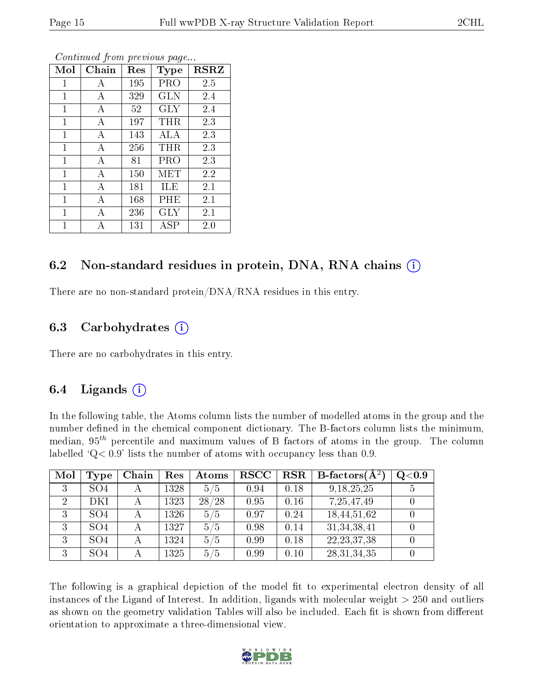| Mol          | Chain | Res | Type       | <b>RSRZ</b> |
|--------------|-------|-----|------------|-------------|
| 1            | А     | 195 | <b>PRO</b> | 2.5         |
| 1            | А     | 329 | <b>GLN</b> | 2.4         |
| 1            | А     | 52  | <b>GLY</b> | 2.4         |
| 1            | А     | 197 | THR        | 2.3         |
| 1            | A     | 143 | ALA        | 2.3         |
| $\mathbf{1}$ | A     | 256 | THR.       | 2.3         |
| 1            | А     | 81  | PRO        | 2.3         |
| 1            | А     | 150 | MET        | 2.2         |
| 1            | А     | 181 | ILE        | 2.1         |
| 1            | А     | 168 | $\rm PHE$  | 2.1         |
| 1            | А     | 236 | GLY        | 2.1         |
| 1            |       | 131 | ASP        | 2.0         |

Continued from previous page...

#### 6.2 Non-standard residues in protein, DNA, RNA chains  $(i)$

There are no non-standard protein/DNA/RNA residues in this entry.

#### 6.3 Carbohydrates  $(i)$

There are no carbohydrates in this entry.

### 6.4 Ligands  $(i)$

In the following table, the Atoms column lists the number of modelled atoms in the group and the number defined in the chemical component dictionary. The B-factors column lists the minimum, median,  $95<sup>th</sup>$  percentile and maximum values of B factors of atoms in the group. The column labelled  $Q< 0.9$  lists the number of atoms with occupancy less than 0.9.

| Mol            | Type            | Chain | Res  | <b>Atoms</b> | $_{\rm RSCC}$ | $_{\rm RSR}$ | <b>B</b> -factors( $\AA^2$ ) | Q <sub>0.9</sub> |
|----------------|-----------------|-------|------|--------------|---------------|--------------|------------------------------|------------------|
| 3              | SO <sub>4</sub> |       | 1328 | 5/5          | 0.94          | 0.18         | 9, 18, 25, 25                |                  |
| $\overline{2}$ | DKI             |       | 1323 | 28/28        | 0.95          | 0.16         | 7,25,47,49                   |                  |
| 3              | SO <sub>4</sub> |       | 1326 | 5/5          | 0.97          | 0.24         | 18,44,51,62                  |                  |
| 3              | SO <sub>4</sub> |       | 1327 | 5/5          | 0.98          | 0.14         | 31, 34, 38, 41               |                  |
| 2              | SO <sub>4</sub> |       | 1324 | 5/5          | 0.99          | 0.18         | 22, 23, 37, 38               |                  |
| 3              | SO <sub>4</sub> |       | 1325 | 5/5          | 0.99          | 0.10         | 28, 31, 34, 35               |                  |

The following is a graphical depiction of the model fit to experimental electron density of all instances of the Ligand of Interest. In addition, ligands with molecular weight  $> 250$  and outliers as shown on the geometry validation Tables will also be included. Each fit is shown from different orientation to approximate a three-dimensional view.